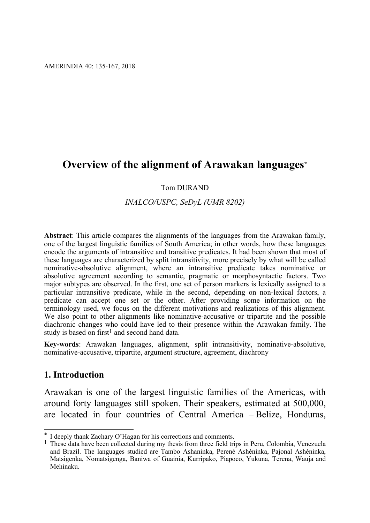# **Overview of the alignment of Arawakan languages\***

#### Tom DURAND

#### *INALCO/USPC, SeDyL (UMR 8202)*

**Abstract**: This article compares the alignments of the languages from the Arawakan family, one of the largest linguistic families of South America; in other words, how these languages encode the arguments of intransitive and transitive predicates. It had been shown that most of these languages are characterized by split intransitivity, more precisely by what will be called nominative-absolutive alignment, where an intransitive predicate takes nominative or absolutive agreement according to semantic, pragmatic or morphosyntactic factors. Two major subtypes are observed. In the first, one set of person markers is lexically assigned to a particular intransitive predicate, while in the second, depending on non-lexical factors, a predicate can accept one set or the other. After providing some information on the terminology used, we focus on the different motivations and realizations of this alignment. We also point to other alignments like nominative-accusative or tripartite and the possible diachronic changes who could have led to their presence within the Arawakan family. The study is based on first<sup>1</sup> and second hand data.

**Key-words**: Arawakan languages, alignment, split intransitivity, nominative-absolutive, nominative-accusative, tripartite, argument structure, agreement, diachrony

#### **1. Introduction**

1

Arawakan is one of the largest linguistic families of the Americas, with around forty languages still spoken. Their speakers, estimated at 500,000, are located in four countries of Central America – Belize, Honduras,

<sup>\*</sup> I deeply thank Zachary O'Hagan for his corrections and comments.

<sup>1</sup> These data have been collected during my thesis from three field trips in Peru, Colombia, Venezuela and Brazil. The languages studied are Tambo Ashaninka, Perené Ashéninka, Pajonal Ashéninka, Matsigenka, Nomatsigenga, Baniwa of Guainia, Kurripako, Piapoco, Yukuna, Terena, Wauja and Mehinaku.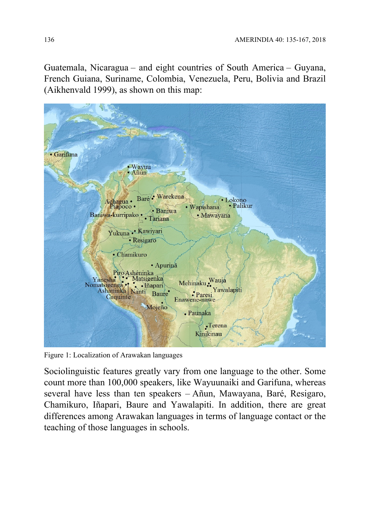Guatemala, Nicaragua – and eight countries of South America – Guyana, French Guiana, Suriname, Colombia, Venezuela, Peru, Bolivia and Brazil (Aikhenvald 1999), as shown on this map:



Figure 1: Localization of Arawakan languages

Sociolinguistic features greatly vary from one language to the other. Some count more than 100,000 speakers, like Wayuunaiki and Garifuna, whereas several have less than ten speakers – Añun, Mawayana, Baré, Resigaro, Chamikuro, Iñapari, Baure and Yawalapiti. In addition, there are great differences among Arawakan languages in terms of language contact or the teaching of those languages in schools.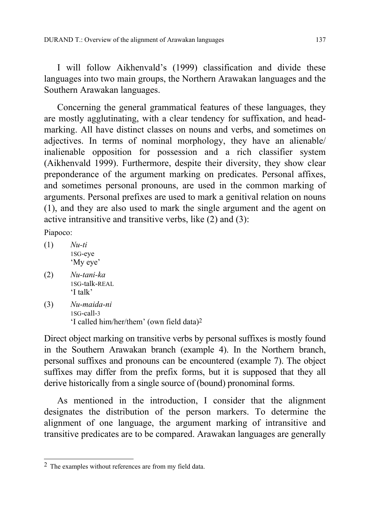I will follow Aikhenvald's (1999) classification and divide these languages into two main groups, the Northern Arawakan languages and the Southern Arawakan languages.

Concerning the general grammatical features of these languages, they are mostly agglutinating, with a clear tendency for suffixation, and headmarking. All have distinct classes on nouns and verbs, and sometimes on adjectives. In terms of nominal morphology, they have an alienable/ inalienable opposition for possession and a rich classifier system (Aikhenvald 1999). Furthermore, despite their diversity, they show clear preponderance of the argument marking on predicates. Personal affixes, and sometimes personal pronouns, are used in the common marking of arguments. Personal prefixes are used to mark a genitival relation on nouns (1), and they are also used to mark the single argument and the agent on active intransitive and transitive verbs, like (2) and (3):

Piapoco:

- (1) *Nu-ti*  1SG-eye 'My eye'
- (2) *Nu-tani-ka*  1SG-talk-REAL 'I talk'
- (3) *Nu-maida-ni*  1SG-call-3 'I called him/her/them' (own field data)2

Direct object marking on transitive verbs by personal suffixes is mostly found in the Southern Arawakan branch (example 4). In the Northern branch, personal suffixes and pronouns can be encountered (example 7). The object suffixes may differ from the prefix forms, but it is supposed that they all derive historically from a single source of (bound) pronominal forms.

As mentioned in the introduction, I consider that the alignment designates the distribution of the person markers. To determine the alignment of one language, the argument marking of intransitive and transitive predicates are to be compared. Arawakan languages are generally

<sup>1</sup> 2 The examples without references are from my field data.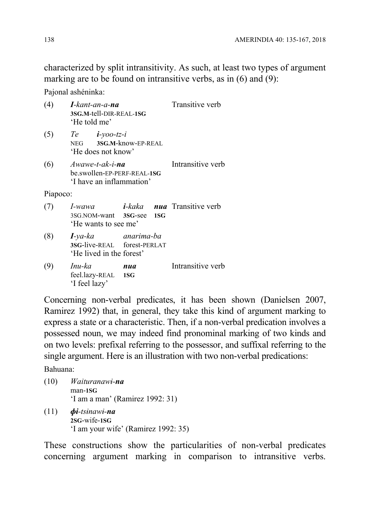characterized by split intransitivity. As such, at least two types of argument marking are to be found on intransitive verbs, as in (6) and (9):

Pajonal ashéninka:

| (4)      | I-kant-an-a-na<br>3SG.M-tell-DIR-REAL-1SG<br>'He told me'                     | Transitive verb |  |                                   |
|----------|-------------------------------------------------------------------------------|-----------------|--|-----------------------------------|
| (5)      | $Te$ $i$ -yoo-tz-i<br>NEG 3SG.M-know-EP-REAL<br>'He does not know'            |                 |  |                                   |
| (6)      | $A$ wawe-t-ak-i-na<br>be.swollen-EP-PERF-REAL-1SG<br>'I have an inflammation' |                 |  | Intransitive verb                 |
| Piapoco: |                                                                               |                 |  |                                   |
| (7)      | <i>I-wawa</i><br>3SG.NOM-want 3SG-see 1SG<br>'He wants to see me'             |                 |  | <i>i-kaka nua</i> Transitive verb |
| (8)      | $I$ -ya-ka<br>3SG-live-REAL forest-PERLAT<br>'He lived in the forest'         | anarima-ba      |  |                                   |
| (9)      | Inu-ka<br>feel.lazy-REAL 1SG<br>'I feel lazy'                                 | nua             |  | Intransitive verb                 |

Concerning non-verbal predicates, it has been shown (Danielsen 2007, Ramirez 1992) that, in general, they take this kind of argument marking to express a state or a characteristic. Then, if a non-verbal predication involves a possessed noun, we may indeed find pronominal marking of two kinds and on two levels: prefixal referring to the possessor, and suffixal referring to the single argument. Here is an illustration with two non-verbal predications:

Bahuana:

- (10) *Waituranawɨ-na* man-**1SG** 'I am a man' (Ramirez 1992: 31) (11) *ɸɨ-tsɨnawɨ-na*
- **2SG**-wife-**1SG** 'I am your wife' (Ramirez 1992: 35)

These constructions show the particularities of non-verbal predicates concerning argument marking in comparison to intransitive verbs.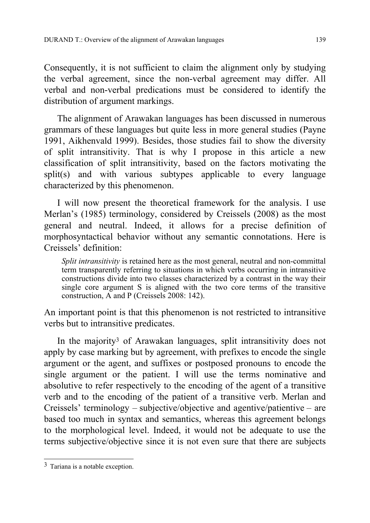Consequently, it is not sufficient to claim the alignment only by studying the verbal agreement, since the non-verbal agreement may differ. All verbal and non-verbal predications must be considered to identify the distribution of argument markings.

The alignment of Arawakan languages has been discussed in numerous grammars of these languages but quite less in more general studies (Payne 1991, Aikhenvald 1999). Besides, those studies fail to show the diversity of split intransitivity. That is why I propose in this article a new classification of split intransitivity, based on the factors motivating the split(s) and with various subtypes applicable to every language characterized by this phenomenon.

I will now present the theoretical framework for the analysis. I use Merlan's (1985) terminology, considered by Creissels (2008) as the most general and neutral. Indeed, it allows for a precise definition of morphosyntactical behavior without any semantic connotations. Here is Creissels' definition:

*Split intransitivity* is retained here as the most general, neutral and non-committal term transparently referring to situations in which verbs occurring in intransitive constructions divide into two classes characterized by a contrast in the way their single core argument S is aligned with the two core terms of the transitive construction, A and P (Creissels 2008: 142).

An important point is that this phenomenon is not restricted to intransitive verbs but to intransitive predicates.

In the majority3 of Arawakan languages, split intransitivity does not apply by case marking but by agreement, with prefixes to encode the single argument or the agent, and suffixes or postposed pronouns to encode the single argument or the patient. I will use the terms nominative and absolutive to refer respectively to the encoding of the agent of a transitive verb and to the encoding of the patient of a transitive verb. Merlan and Creissels' terminology – subjective/objective and agentive/patientive – are based too much in syntax and semantics, whereas this agreement belongs to the morphological level. Indeed, it would not be adequate to use the terms subjective/objective since it is not even sure that there are subjects

<sup>1</sup> 3 Tariana is a notable exception.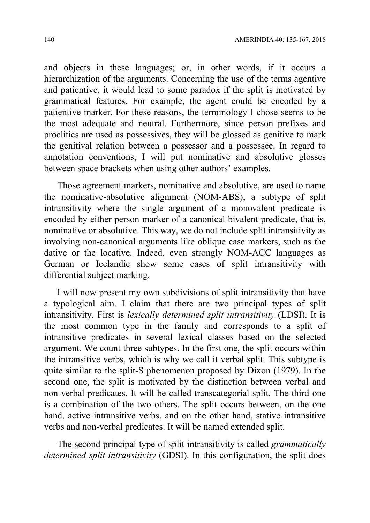and objects in these languages; or, in other words, if it occurs a hierarchization of the arguments. Concerning the use of the terms agentive and patientive, it would lead to some paradox if the split is motivated by grammatical features. For example, the agent could be encoded by a patientive marker. For these reasons, the terminology I chose seems to be the most adequate and neutral. Furthermore, since person prefixes and proclitics are used as possessives, they will be glossed as genitive to mark the genitival relation between a possessor and a possessee. In regard to annotation conventions, I will put nominative and absolutive glosses between space brackets when using other authors' examples.

Those agreement markers, nominative and absolutive, are used to name the nominative-absolutive alignment (NOM-ABS), a subtype of split intransitivity where the single argument of a monovalent predicate is encoded by either person marker of a canonical bivalent predicate, that is, nominative or absolutive. This way, we do not include split intransitivity as involving non-canonical arguments like oblique case markers, such as the dative or the locative. Indeed, even strongly NOM-ACC languages as German or Icelandic show some cases of split intransitivity with differential subject marking.

I will now present my own subdivisions of split intransitivity that have a typological aim. I claim that there are two principal types of split intransitivity. First is *lexically determined split intransitivity* (LDSI). It is the most common type in the family and corresponds to a split of intransitive predicates in several lexical classes based on the selected argument. We count three subtypes. In the first one, the split occurs within the intransitive verbs, which is why we call it verbal split. This subtype is quite similar to the split-S phenomenon proposed by Dixon (1979). In the second one, the split is motivated by the distinction between verbal and non-verbal predicates. It will be called transcategorial split. The third one is a combination of the two others. The split occurs between, on the one hand, active intransitive verbs, and on the other hand, stative intransitive verbs and non-verbal predicates. It will be named extended split.

The second principal type of split intransitivity is called *grammatically determined split intransitivity* (GDSI). In this configuration, the split does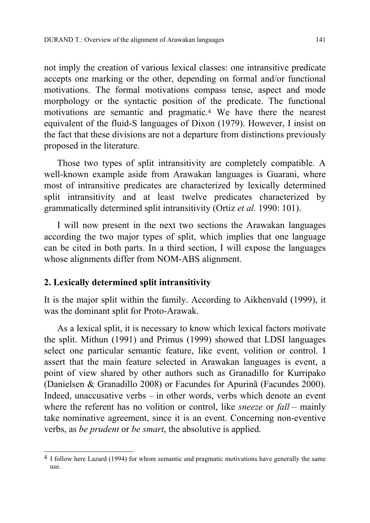not imply the creation of various lexical classes: one intransitive predicate accepts one marking or the other, depending on formal and/or functional motivations. The formal motivations compass tense, aspect and mode morphology or the syntactic position of the predicate. The functional motivations are semantic and pragmatic.4 We have there the nearest equivalent of the fluid-S languages of Dixon (1979). However, I insist on the fact that these divisions are not a departure from distinctions previously proposed in the literature.

Those two types of split intransitivity are completely compatible. A well-known example aside from Arawakan languages is Guarani, where most of intransitive predicates are characterized by lexically determined split intransitivity and at least twelve predicates characterized by grammatically determined split intransitivity (Ortiz *et al.* 1990: 101).

I will now present in the next two sections the Arawakan languages according the two major types of split, which implies that one language can be cited in both parts. In a third section, I will expose the languages whose alignments differ from NOM-ABS alignment.

## **2. Lexically determined split intransitivity**

1

It is the major split within the family. According to Aikhenvald (1999), it was the dominant split for Proto-Arawak.

As a lexical split, it is necessary to know which lexical factors motivate the split. Mithun (1991) and Primus (1999) showed that LDSI languages select one particular semantic feature, like event, volition or control. I assert that the main feature selected in Arawakan languages is event, a point of view shared by other authors such as Granadillo for Kurripako (Danielsen & Granadillo 2008) or Facundes for Apurinã (Facundes 2000). Indeed, unaccusative verbs – in other words, verbs which denote an event where the referent has no volition or control, like *sneeze* or *fall* – mainly take nominative agreement, since it is an event. Concerning non-eventive verbs, as *be prudent* or *be smart*, the absolutive is applied.

<sup>&</sup>lt;sup>4</sup> I follow here Lazard (1994) for whom semantic and pragmatic motivations have generally the same use.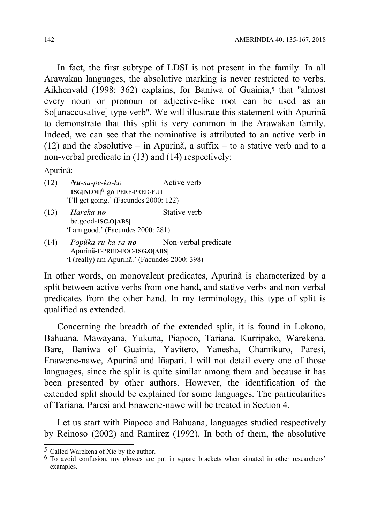In fact, the first subtype of LDSI is not present in the family. In all Arawakan languages, the absolutive marking is never restricted to verbs. Aikhenvald (1998: 362) explains, for Baniwa of Guainia,<sup>5</sup> that "almost every noun or pronoun or adjective-like root can be used as an So[unaccusative] type verb". We will illustrate this statement with Apurinã to demonstrate that this split is very common in the Arawakan family. Indeed, we can see that the nominative is attributed to an active verb in (12) and the absolutive – in Apurinã, a suffix – to a stative verb and to a non-verbal predicate in (13) and (14) respectively:

Apurinã:

- (12) *Nu-su-pe-ka-ko* Active verb **1SG[NOM]**6-go-PERF-PRED-FUT 'I'll get going.' (Facundes 2000: 122)
- (13) *Hareka-no* Stative verb be.good-**1SG.O[ABS]** 'I am good.' (Facundes 2000: 281)
- (14) *Popũka-ru-ka-ra-no* Non-verbal predicate Apurinã-F-PRED-FOC-**1SG.O[ABS]** 'I (really) am Apurinã.' (Facundes 2000: 398)

In other words, on monovalent predicates, Apurinã is characterized by a split between active verbs from one hand, and stative verbs and non-verbal predicates from the other hand. In my terminology, this type of split is qualified as extended.

Concerning the breadth of the extended split, it is found in Lokono, Bahuana, Mawayana, Yukuna, Piapoco, Tariana, Kurripako, Warekena, Bare, Baniwa of Guainia, Yavitero, Yanesha, Chamikuro, Paresi, Enawene-nawe, Apurinã and Iñapari. I will not detail every one of those languages, since the split is quite similar among them and because it has been presented by other authors. However, the identification of the extended split should be explained for some languages. The particularities of Tariana, Paresi and Enawene-nawe will be treated in Section 4.

Let us start with Piapoco and Bahuana, languages studied respectively by Reinoso (2002) and Ramirez (1992). In both of them, the absolutive

1

<sup>5</sup> Called Warekena of Xie by the author.

<sup>6</sup> To avoid confusion, my glosses are put in square brackets when situated in other researchers' examples.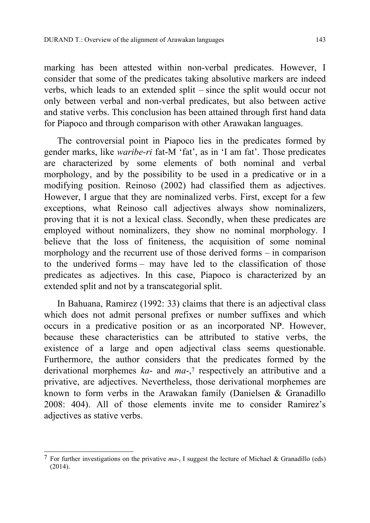marking has been attested within non-verbal predicates. However, I consider that some of the predicates taking absolutive markers are indeed verbs, which leads to an extended split – since the split would occur not only between verbal and non-verbal predicates, but also between active and stative verbs. This conclusion has been attained through first hand data for Piapoco and through comparison with other Arawakan languages.

The controversial point in Piapoco lies in the predicates formed by gender marks, like *waribe-ri* fat-M 'fat', as in 'I am fat'. Those predicates are characterized by some elements of both nominal and verbal morphology, and by the possibility to be used in a predicative or in a modifying position. Reinoso (2002) had classified them as adjectives. However, I argue that they are nominalized verbs. First, except for a few exceptions, what Reinoso call adjectives always show nominalizers, proving that it is not a lexical class. Secondly, when these predicates are employed without nominalizers, they show no nominal morphology. I believe that the loss of finiteness, the acquisition of some nominal morphology and the recurrent use of those derived forms – in comparison to the underived forms – may have led to the classification of those predicates as adjectives. In this case, Piapoco is characterized by an extended split and not by a transcategorial split.

In Bahuana, Ramirez (1992: 33) claims that there is an adjectival class which does not admit personal prefixes or number suffixes and which occurs in a predicative position or as an incorporated NP. However, because these characteristics can be attributed to stative verbs, the existence of a large and open adjectival class seems questionable. Furthermore, the author considers that the predicates formed by the derivational morphemes *ka*- and *ma*-,7 respectively an attributive and a privative, are adjectives. Nevertheless, those derivational morphemes are known to form verbs in the Arawakan family (Danielsen & Granadillo 2008: 404). All of those elements invite me to consider Ramirez's adjectives as stative verbs.

<sup>1</sup> 7 For further investigations on the privative *ma*-, I suggest the lecture of Michael & Granadillo (eds) (2014).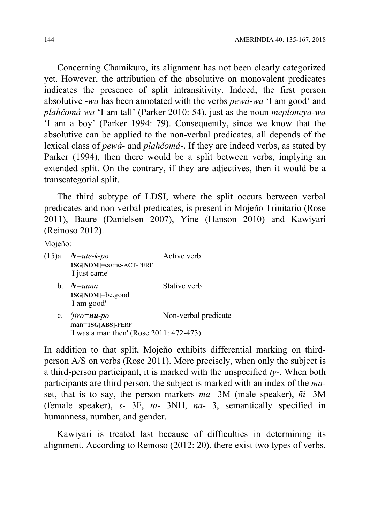Concerning Chamikuro, its alignment has not been clearly categorized yet. However, the attribution of the absolutive on monovalent predicates indicates the presence of split intransitivity. Indeed, the first person absolutive -*wa* has been annotated with the verbs *pewá*-*wa* 'I am good' and *plahčomá*-*wa* 'I am tall' (Parker 2010: 54), just as the noun *meploneya-wa*  'I am a boy' (Parker 1994: 79). Consequently, since we know that the absolutive can be applied to the non-verbal predicates, all depends of the lexical class of *pewá*- and *plahčomá*-. If they are indeed verbs, as stated by Parker (1994), then there would be a split between verbs, implying an extended split. On the contrary, if they are adjectives, then it would be a transcategorial split.

The third subtype of LDSI, where the split occurs between verbal predicates and non-verbal predicates, is present in Mojeño Trinitario (Rose 2011), Baure (Danielsen 2007), Yine (Hanson 2010) and Kawiyari (Reinoso 2012).

Mojeño:

| $(15)a.$ <i>N=ute-k-po</i><br>1SG[NOM]=come-ACT-PERF<br>'I just came'                                | Active verb          |
|------------------------------------------------------------------------------------------------------|----------------------|
| b. $N = u$ una<br>1SG[NOM]=be.good<br>'I am good'                                                    | Stative verb         |
| c. $\frac{r}{i}$ iro = <b>nu</b> -po<br>man=1SG[ABS]-PERF<br>'I was a man then' (Rose 2011: 472-473) | Non-verbal predicate |

In addition to that split, Mojeño exhibits differential marking on thirdperson A/S on verbs (Rose 2011). More precisely, when only the subject is a third-person participant, it is marked with the unspecified *ty-*. When both participants are third person, the subject is marked with an index of the *ma*set, that is to say, the person markers *ma*- 3M (male speaker), *ñi*- 3M (female speaker), *s*- 3F, *ta*- 3NH, *na*- 3, semantically specified in humanness, number, and gender.

Kawiyari is treated last because of difficulties in determining its alignment. According to Reinoso (2012: 20), there exist two types of verbs,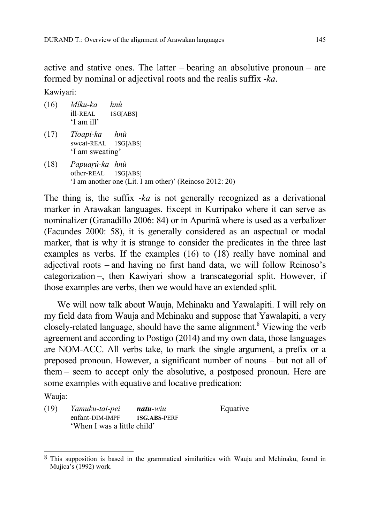active and stative ones. The latter – bearing an absolutive pronoun – are formed by nominal or adjectival roots and the realis suffix -*ka*.

Kawiyari:

- (16) *Míku-ka hnù*  ill-REAL 1SG[ABS] 'I am ill'
- (17) *Tíoapi-ka hnù*  sweat-REAL 1SG[ABS] 'I am sweating'
- (18) *Papuaɽú-ka hnù*  other-REAL 1SG[ABS] 'I am another one (Lit. I am other)' (Reinoso 2012: 20)

The thing is, the suffix -*ka* is not generally recognized as a derivational marker in Arawakan languages. Except in Kurripako where it can serve as nominalizer (Granadillo 2006: 84) or in Apurinã where is used as a verbalizer (Facundes 2000: 58), it is generally considered as an aspectual or modal marker, that is why it is strange to consider the predicates in the three last examples as verbs. If the examples (16) to (18) really have nominal and adjectival roots – and having no first hand data, we will follow Reinoso's categorization –, then Kawiyari show a transcategorial split. However, if those examples are verbs, then we would have an extended split.

We will now talk about Wauja, Mehinaku and Yawalapiti. I will rely on my field data from Wauja and Mehinaku and suppose that Yawalapiti, a very closely-related language, should have the same alignment.<sup>8</sup> Viewing the verb agreement and according to Postigo (2014) and my own data, those languages are NOM-ACC. All verbs take, to mark the single argument, a prefix or a preposed pronoun. However, a significant number of nouns – but not all of them – seem to accept only the absolutive, a postposed pronoun. Here are some examples with equative and locative predication:

Wauja:

(19) *Yamuku-tai-pei natu-wiu* Equative enfant-DIM-IMPF **1SG.ABS**-PERF 'When I was a little child'

<sup>1</sup> 8 This supposition is based in the grammatical similarities with Wauja and Mehinaku, found in Mujica's (1992) work.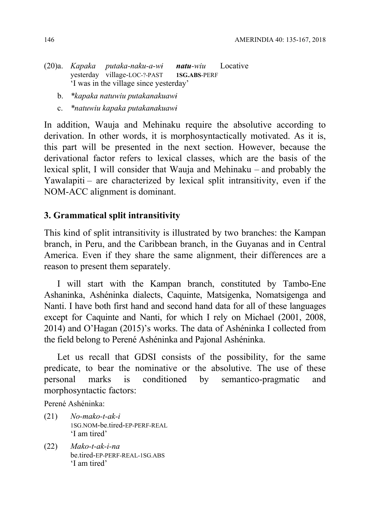- (20)a. *Kapaka putaka-naku-a-wɨ natu-wiu* Locative yesterday village-LOC-?-PAST **1SG.ABS**-PERF 'I was in the village since yesterday'
	- b. *\*kapaka natuwiu putakanakuawɨ*
	- c. *\*natuwiu kapaka putakanakuawɨ*

In addition, Wauja and Mehinaku require the absolutive according to derivation. In other words, it is morphosyntactically motivated. As it is, this part will be presented in the next section. However, because the derivational factor refers to lexical classes, which are the basis of the lexical split, I will consider that Wauja and Mehinaku – and probably the Yawalapiti – are characterized by lexical split intransitivity, even if the NOM-ACC alignment is dominant.

## **3. Grammatical split intransitivity**

This kind of split intransitivity is illustrated by two branches: the Kampan branch, in Peru, and the Caribbean branch, in the Guyanas and in Central America. Even if they share the same alignment, their differences are a reason to present them separately.

I will start with the Kampan branch, constituted by Tambo-Ene Ashaninka, Ashéninka dialects, Caquinte, Matsigenka, Nomatsigenga and Nanti. I have both first hand and second hand data for all of these languages except for Caquinte and Nanti, for which I rely on Michael (2001, 2008, 2014) and O'Hagan (2015)'s works. The data of Ashéninka I collected from the field belong to Perené Ashéninka and Pajonal Ashéninka.

Let us recall that GDSI consists of the possibility, for the same predicate, to bear the nominative or the absolutive. The use of these personal marks is conditioned by semantico-pragmatic and morphosyntactic factors:

Perené Ashéninka:

- (21) *No-mako-t-ak-i*  1SG.NOM-be.tired-EP-PERF-REAL 'I am tired'
- (22) *Mako-t-ak-i-na*  be.tired-EP-PERF-REAL-1SG.ABS 'I am tired'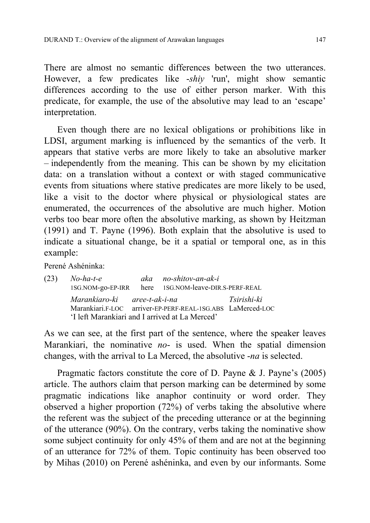There are almost no semantic differences between the two utterances. However, a few predicates like -*shiy* 'run', might show semantic differences according to the use of either person marker. With this predicate, for example, the use of the absolutive may lead to an 'escape' interpretation.

Even though there are no lexical obligations or prohibitions like in LDSI, argument marking is influenced by the semantics of the verb. It appears that stative verbs are more likely to take an absolutive marker – independently from the meaning. This can be shown by my elicitation data: on a translation without a context or with staged communicative events from situations where stative predicates are more likely to be used, like a visit to the doctor where physical or physiological states are enumerated, the occurrences of the absolutive are much higher. Motion verbs too bear more often the absolutive marking, as shown by Heitzman (1991) and T. Payne (1996). Both explain that the absolutive is used to indicate a situational change, be it a spatial or temporal one, as in this example:

Perené Ashéninka:

| (23) | No-ha-t-e                                      | aka no-shitov-an-ak-i                                      |             |
|------|------------------------------------------------|------------------------------------------------------------|-------------|
|      |                                                | 1SG.NOM-go-EP-IRR here 1SG.NOM-leave-DIR.S-PERF-REAL       |             |
|      | Marankiaro-ki aree-t-ak-i-na                   |                                                            | Tsirishi-ki |
|      |                                                | Marankiari.F-LOC arriver-EP-PERF-REAL-1SG.ABS LaMerced-LOC |             |
|      | 'I left Marankiari and I arrived at La Merced' |                                                            |             |

As we can see, at the first part of the sentence, where the speaker leaves Marankiari, the nominative *no*- is used. When the spatial dimension changes, with the arrival to La Merced, the absolutive -*na* is selected.

Pragmatic factors constitute the core of D. Payne & J. Payne's (2005) article. The authors claim that person marking can be determined by some pragmatic indications like anaphor continuity or word order. They observed a higher proportion (72%) of verbs taking the absolutive where the referent was the subject of the preceding utterance or at the beginning of the utterance (90%). On the contrary, verbs taking the nominative show some subject continuity for only 45% of them and are not at the beginning of an utterance for 72% of them. Topic continuity has been observed too by Mihas (2010) on Perené ashéninka, and even by our informants. Some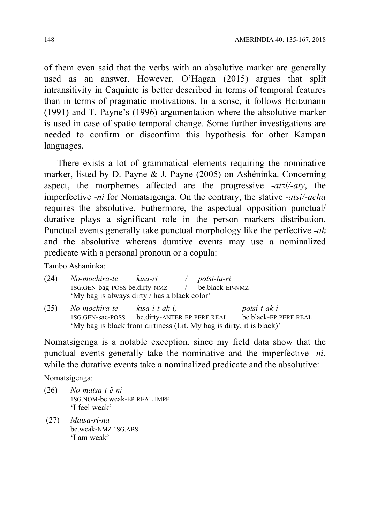of them even said that the verbs with an absolutive marker are generally used as an answer. However, O'Hagan (2015) argues that split intransitivity in Caquinte is better described in terms of temporal features than in terms of pragmatic motivations. In a sense, it follows Heitzmann (1991) and T. Payne's (1996) argumentation where the absolutive marker is used in case of spatio-temporal change. Some further investigations are needed to confirm or disconfirm this hypothesis for other Kampan languages.

There exists a lot of grammatical elements requiring the nominative marker, listed by D. Payne & J. Payne (2005) on Ashéninka. Concerning aspect, the morphemes affected are the progressive -*atzi/-aty*, the imperfective *-ni* for Nomatsigenga. On the contrary, the stative *-atsi/-acha* requires the absolutive. Futhermore, the aspectual opposition punctual/ durative plays a significant role in the person markers distribution. Punctual events generally take punctual morphology like the perfective -*ak* and the absolutive whereas durative events may use a nominalized predicate with a personal pronoun or a copula:

Tambo Ashaninka:

| (24) | No-mochira-te kisa-ri                                                |                             | potsi-ta-ri     |                       |
|------|----------------------------------------------------------------------|-----------------------------|-----------------|-----------------------|
|      | 1SG.GEN-bag-POSS be.dirty-NMZ /                                      |                             | be.black-EP-NMZ |                       |
|      | 'My bag is always dirty / has a black color'                         |                             |                 |                       |
| (25) | No-mochira-te                                                        | kisa-i-t-ak-i,              |                 | $postsi-t-ak-i$       |
|      | 1SG.GEN-sac-POSS                                                     | be.dirty-ANTER-EP-PERF-REAL |                 | be.black-EP-PERF-REAL |
|      | 'My bag is black from dirtiness (Lit. My bag is dirty, it is black)' |                             |                 |                       |

Nomatsigenga is a notable exception, since my field data show that the punctual events generally take the nominative and the imperfective -*ni*, while the durative events take a nominalized predicate and the absolutive:

Nomatsigenga:

- (26) *No-matsa-t-ë-ni*  1SG.NOM-be.weak-EP-REAL-IMPF 'I feel weak'
- (27) *Matsa-ri-na*  be.weak-NMZ-1SG.ABS 'I am weak'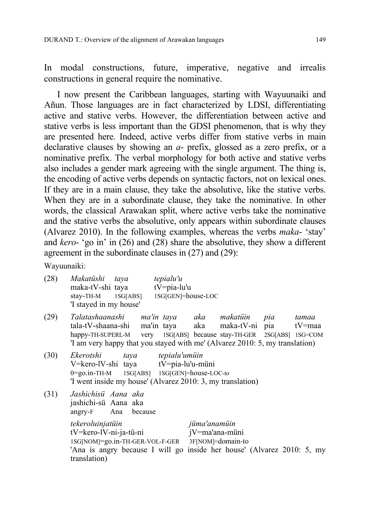In modal constructions, future, imperative, negative and irrealis constructions in general require the nominative.

I now present the Caribbean languages, starting with Wayuunaiki and Añun. Those languages are in fact characterized by LDSI, differentiating active and stative verbs. However, the differentiation between active and stative verbs is less important than the GDSI phenomenon, that is why they are presented here. Indeed, active verbs differ from stative verbs in main declarative clauses by showing an *a*- prefix, glossed as a zero prefix, or a nominative prefix. The verbal morphology for both active and stative verbs also includes a gender mark agreeing with the single argument. The thing is, the encoding of active verbs depends on syntactic factors, not on lexical ones. If they are in a main clause, they take the absolutive, like the stative verbs. When they are in a subordinate clause, they take the nominative. In other words, the classical Arawakan split, where active verbs take the nominative and the stative verbs the absolutive, only appears within subordinate clauses (Alvarez 2010). In the following examples, whereas the verbs *maka*- 'stay' and *kero*- 'go in' in (26) and (28) share the absolutive, they show a different agreement in the subordinate clauses in (27) and (29):

Wayuunaiki:

| (28) | Makatüshi taya tepialu'u<br>maka-tV-shi taya tV=pia-lu'u<br>stay-TH-M 1SG[ABS] 1SG[GEN]=house-LOC<br>'I stayed in my house'                                                                                                                                  |                |              |  |       |
|------|--------------------------------------------------------------------------------------------------------------------------------------------------------------------------------------------------------------------------------------------------------------|----------------|--------------|--|-------|
| (29) | Talatashaanashi ma'in-taya aka makatüin pia<br>tala-tV-shaana-shi ma'in taya aka maka-tV-ni pia tV=maa<br>happy-TH-SUPERL-M very 1SG[ABS] because stay-TH-GER 2SG[ABS] 1SG=COM<br>T am very happy that you stayed with me' (Alvarez 2010: 5, my translation) |                |              |  | tamaa |
| (30) | Ekerotshi taya tepialu'umüin<br>V=kero-lV-shi taya tV=pia-lu'u-müni<br>0=go.in-TH-M 1SG[ABS] 1SG[GEN]=house-LOC-to<br>'I went inside my house' (Alvarez 2010: 3, my translation)                                                                             |                |              |  |       |
| (31) | Jashichisü Aana aka<br>jashichi-sü Aana aka<br>angry-F Ana because                                                                                                                                                                                           |                |              |  |       |
|      | tekeroluinjatüin<br>$tV = \text{ker}o - lV - ni - ja - tü - ni$<br>1SG[NOM]=go.in-TH-GER-VOL-F-GER 3F[NOM]=domain-to<br>'Ana is angry because I will go inside her house' (Alvarez 2010: 5, my<br>translation)                                               | jV=ma'ana-müni | jüma'anamüin |  |       |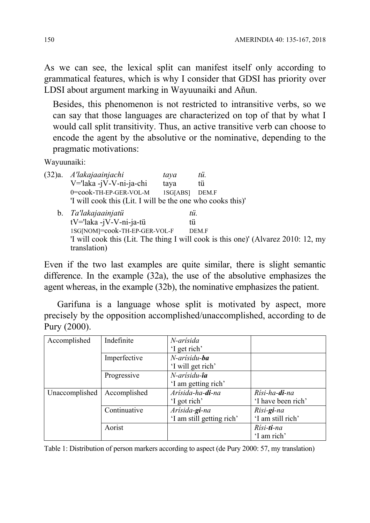As we can see, the lexical split can manifest itself only according to grammatical features, which is why I consider that GDSI has priority over LDSI about argument marking in Wayuunaiki and Añun.

 Besides, this phenomenon is not restricted to intransitive verbs, so we can say that those languages are characterized on top of that by what I would call split transitivity. Thus, an active transitive verb can choose to encode the agent by the absolutive or the nominative, depending to the pragmatic motivations:

Wayuunaiki:

(32)a. *A'lakajaainjachi taya tü.*  V='laka -jV-V-ni-ja-chi taya tü 0=cook-TH-EP-GER-VOL-M 1SG[ABS] DEM.F 'I will cook this (Lit. I will be the one who cooks this)' b. *Ta'lakajaainjatü tü.* tV='laka -jV-V-ni-ja-tü tü 1SG[NOM]=cook-TH-EP-GER-VOL-F DEM.F 'I will cook this (Lit. The thing I will cook is this one)' (Alvarez 2010: 12, my translation)

Even if the two last examples are quite similar, there is slight semantic difference. In the example (32a), the use of the absolutive emphasizes the agent whereas, in the example (32b), the nominative emphasizes the patient.

Garifuna is a language whose split is motivated by aspect, more precisely by the opposition accomplished/unaccomplished, according to de Pury (2000).

| Accomplished   | Indefinite   | N-arísida                 |                        |
|----------------|--------------|---------------------------|------------------------|
|                |              | 'I get rich'              |                        |
|                | Imperfective | N-arísidu-ba              |                        |
|                |              | 'I will get rich'         |                        |
|                | Progressive  | N-arísidu- <b>îa</b>      |                        |
|                |              | 'I am getting rich'       |                        |
| Unaccomplished | Accomplished | Arísida-ha-di-na          | Rísi-ha- <b>di</b> -na |
|                |              | 'I got rich'              | 'I have been rich'     |
|                | Continuative | Arísida-gi-na             | Risi-gi-na             |
|                |              | 'I am still getting rich' | 'I am still rich'      |
|                | Aorist       |                           | Rísi-ti-na             |
|                |              |                           | 'I am rich'            |

Table 1: Distribution of person markers according to aspect (de Pury 2000: 57, my translation)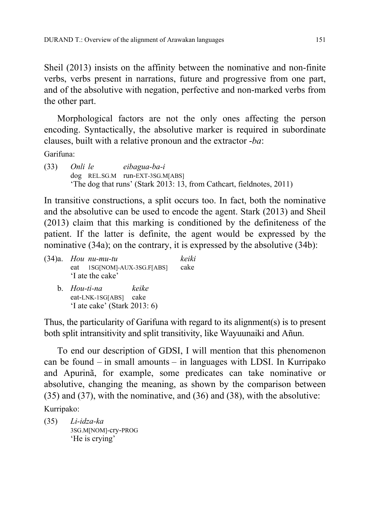Sheil (2013) insists on the affinity between the nominative and non-finite verbs, verbs present in narrations, future and progressive from one part, and of the absolutive with negation, perfective and non-marked verbs from the other part.

Morphological factors are not the only ones affecting the person encoding. Syntactically, the absolutive marker is required in subordinate clauses, built with a relative pronoun and the extractor -*ba*:

Garifuna:

(33) *Onli le eibagua-ba-i*  dog REL.SG.M run-EXT-3SG.M[ABS] 'The dog that runs' (Stark 2013: 13, from Cathcart, fieldnotes, 2011)

In transitive constructions, a split occurs too. In fact, both the nominative and the absolutive can be used to encode the agent. Stark (2013) and Sheil (2013) claim that this marking is conditioned by the definiteness of the patient. If the latter is definite, the agent would be expressed by the nominative (34a); on the contrary, it is expressed by the absolutive (34b):

| $(34)a$ . Hou nu-mu-tu<br>eat 1SG[NOM]-AUX-3SG.F[ABS]<br>'I ate the cake'      | keiki<br>cake |
|--------------------------------------------------------------------------------|---------------|
| b. Hou-ti-na<br>keike<br>eat-LNK-1SG[ABS] cake<br>'I ate cake' (Stark 2013: 6) |               |

Thus, the particularity of Garifuna with regard to its alignment(s) is to present both split intransitivity and split transitivity, like Wayuunaiki and Añun.

To end our description of GDSI, I will mention that this phenomenon can be found – in small amounts – in languages with LDSI. In Kurripako and Apurinã, for example, some predicates can take nominative or absolutive, changing the meaning, as shown by the comparison between (35) and (37), with the nominative, and (36) and (38), with the absolutive:

Kurripako:

(35) *Li-idza-ka*  3SG.M[NOM]-cry-PROG 'He is crying'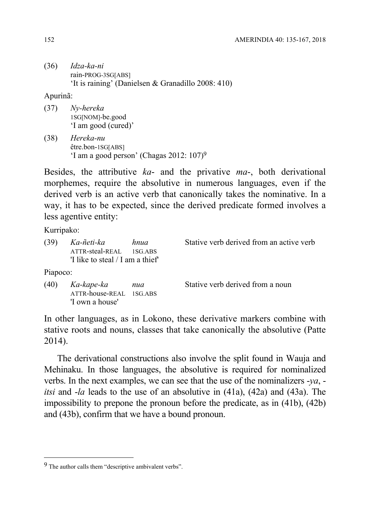(36) *Idza-ka-ni*  rain-PROG-3SG[ABS] 'It is raining' (Danielsen & Granadillo 2008: 410)

#### Apurinã:

(37) *Ny-hereka*  1SG[NOM]-be.good 'I am good (cured)'

'I own a house'

(38) *Hereka-nu*  être.bon-1SG[ABS] 'I am a good person' (Chagas 2012: 107)9

Besides, the attributive *ka*- and the privative *ma*-, both derivational morphemes, require the absolutive in numerous languages, even if the derived verb is an active verb that canonically takes the nominative. In a way, it has to be expected, since the derived predicate formed involves a less agentive entity:

Kurripako:

1

| (39)     | Ka-ñeti-ka<br>ATTR-steal-REAL<br>'I like to steal $\overline{I}$ am a thief' | hnua<br>1SG.ABS | Stative verb derived from an active verb |
|----------|------------------------------------------------------------------------------|-----------------|------------------------------------------|
| Piapoco: |                                                                              |                 |                                          |
| (40)     | Ka-kape-ka<br>ATTR-house-REAL 1SG.ABS                                        | nua             | Stative verb derived from a noun         |

In other languages, as in Lokono, these derivative markers combine with stative roots and nouns, classes that take canonically the absolutive (Patte 2014).

The derivational constructions also involve the split found in Wauja and Mehinaku. In those languages, the absolutive is required for nominalized verbs. In the next examples, we can see that the use of the nominalizers -*ya*, *itsi* and -*la* leads to the use of an absolutive in (41a), (42a) and (43a). The impossibility to prepone the pronoun before the predicate, as in (41b), (42b) and (43b), confirm that we have a bound pronoun.

<sup>9</sup> The author calls them "descriptive ambivalent verbs".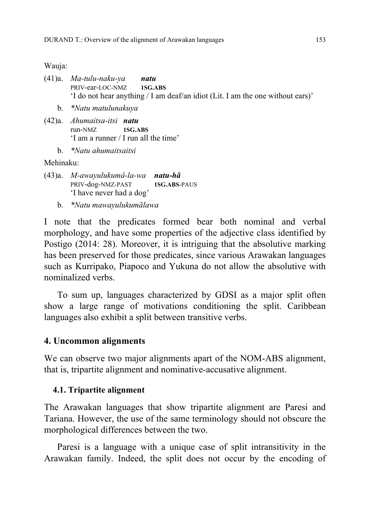Wauja:

- (41)a. *Ma-tulu-naku-ya natu*  PRIV-ear-LOC-NMZ **1SG.ABS** 'I do not hear anything / I am deaf/an idiot (Lit. I am the one without ears)'
	- b. *\*Natu matulunakuya*
- (42)a. *Ahumaitsa-itsi natu*  run-NMZ **1SG.ABS** 'I am a runner / I run all the time'
	- b. *\*Natu ahumaitsaitsi*

Mehinaku:

- (43)a. *M-awayulukumâ-la-wa natu-hã*  PRIV-dog-NMZ-PAST **1SG.ABS**-PAUS 'I have never had a dog'
	- b. *\*Natu mawayulukumãlawa*

I note that the predicates formed bear both nominal and verbal morphology, and have some properties of the adjective class identified by Postigo (2014: 28). Moreover, it is intriguing that the absolutive marking has been preserved for those predicates, since various Arawakan languages such as Kurripako, Piapoco and Yukuna do not allow the absolutive with nominalized verbs.

To sum up, languages characterized by GDSI as a major split often show a large range of motivations conditioning the split. Caribbean languages also exhibit a split between transitive verbs.

### **4. Uncommon alignments**

We can observe two major alignments apart of the NOM-ABS alignment, that is, tripartite alignment and nominative-accusative alignment.

#### **4.1. Tripartite alignment**

The Arawakan languages that show tripartite alignment are Paresi and Tariana. However, the use of the same terminology should not obscure the morphological differences between the two.

Paresi is a language with a unique case of split intransitivity in the Arawakan family. Indeed, the split does not occur by the encoding of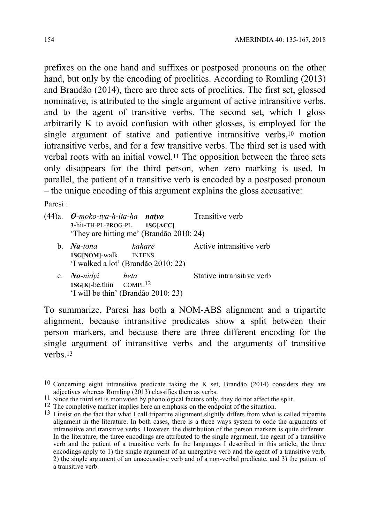prefixes on the one hand and suffixes or postposed pronouns on the other hand, but only by the encoding of proclitics. According to Romling (2013) and Brandão (2014), there are three sets of proclitics. The first set, glossed nominative, is attributed to the single argument of active intransitive verbs, and to the agent of transitive verbs. The second set, which I gloss arbitrarily K to avoid confusion with other glosses, is employed for the single argument of stative and patientive intransitive verbs,<sup>10</sup> motion intransitive verbs, and for a few transitive verbs. The third set is used with verbal roots with an initial vowel.11 The opposition between the three sets only disappears for the third person, when zero marking is used. In parallel, the patient of a transitive verb is encoded by a postposed pronoun – the unique encoding of this argument explains the gloss accusative:

Paresi :

1

| $(44)$ a.      | $\mathcal{D}\text{-}moko-tya-h-ita-ha$ natyo          | 3-hit-TH-PL-PROG-PL 1SG[ACC]<br>'They are hitting me' (Brandão 2010: 24) | Transitive verb           |
|----------------|-------------------------------------------------------|--------------------------------------------------------------------------|---------------------------|
| $\mathbf{b}$ . | $Na$ -tona<br>1SG[NOM]-walk INTENS                    | kahare<br>'I walked a lot' (Brandão 2010: 22)                            | Active intransitive verb  |
|                | c. $No\text{-}nidy$<br>$1SG[K]$ -be.thin $COMPL^{12}$ | heta<br>'I will be thin' (Brandão 2010: 23)                              | Stative intransitive verb |

To summarize, Paresi has both a NOM-ABS alignment and a tripartite alignment, because intransitive predicates show a split between their person markers, and because there are three different encoding for the single argument of intransitive verbs and the arguments of transitive verbs.13

<sup>10</sup> Concerning eight intransitive predicate taking the K set, Brandão (2014) considers they are adjectives whereas Romling (2013) classifies them as verbs.<br>
<sup>11</sup> Since the third set is motivated by phonological factors only, they do not affect the split.<br>
<sup>12</sup> The completive marker implies here an emphasis on the en

<sup>&</sup>lt;sup>13</sup> I insist on the fact that what I call tripartite alignment slightly differs from what is called tripartite alignment in the literature. In both cases, there is a three ways system to code the arguments of intransitive and transitive verbs. However, the distribution of the person markers is quite different. In the literature, the three encodings are attributed to the single argument, the agent of a transitive verb and the patient of a transitive verb. In the languages I described in this article, the three encodings apply to 1) the single argument of an unergative verb and the agent of a transitive verb, 2) the single argument of an unaccusative verb and of a non-verbal predicate, and 3) the patient of a transitive verb.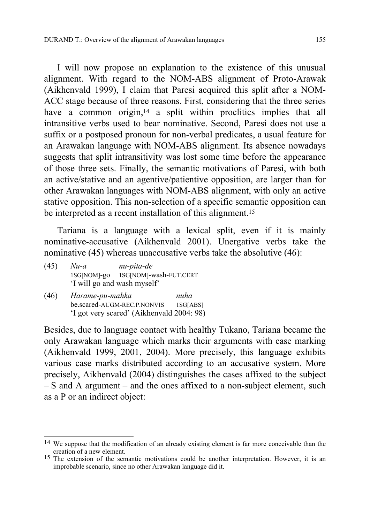I will now propose an explanation to the existence of this unusual alignment. With regard to the NOM-ABS alignment of Proto-Arawak (Aikhenvald 1999), I claim that Paresi acquired this split after a NOM-ACC stage because of three reasons. First, considering that the three series have a common origin,<sup>14</sup> a split within proclitics implies that all intransitive verbs used to bear nominative. Second, Paresi does not use a suffix or a postposed pronoun for non-verbal predicates, a usual feature for an Arawakan language with NOM-ABS alignment. Its absence nowadays suggests that split intransitivity was lost some time before the appearance of those three sets. Finally, the semantic motivations of Paresi, with both an active/stative and an agentive/patientive opposition, are larger than for other Arawakan languages with NOM-ABS alignment, with only an active stative opposition. This non-selection of a specific semantic opposition can be interpreted as a recent installation of this alignment.<sup>15</sup>

Tariana is a language with a lexical split, even if it is mainly nominative-accusative (Aikhenvald 2001). Unergative verbs take the nominative (45) whereas unaccusative verbs take the absolutive (46):

| (45) | $Nu-a$ | nu-pita-de                         |
|------|--------|------------------------------------|
|      |        | 1SG[NOM]-go 1SG[NOM]-wash-FUT.CERT |
|      |        | 'I will go and wash myself'        |

(46) *Haɾame-pu-mahka nuha*  be.scared-AUGM-REC.P.NONVIS 1SG[ABS] 'I got very scared' (Aikhenvald 2004: 98)

1

Besides, due to language contact with healthy Tukano, Tariana became the only Arawakan language which marks their arguments with case marking (Aikhenvald 1999, 2001, 2004). More precisely, this language exhibits various case marks distributed according to an accusative system. More precisely, Aikhenvald (2004) distinguishes the cases affixed to the subject – S and A argument – and the ones affixed to a non-subject element, such as a P or an indirect object:

<sup>14</sup> We suppose that the modification of an already existing element is far more conceivable than the creation of a new element.

<sup>&</sup>lt;sup>15</sup> The extension of the semantic motivations could be another interpretation. However, it is an improbable scenario, since no other Arawakan language did it.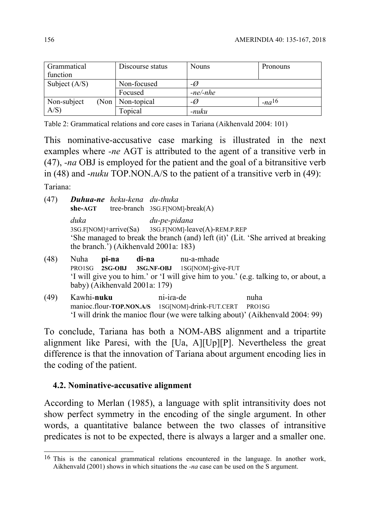| Grammatical<br>function | Discourse status   | <b>Nouns</b>   | Pronouns   |
|-------------------------|--------------------|----------------|------------|
| Subject $(A/S)$         | Non-focused        | $-\varnothing$ |            |
|                         | Focused            | $-ne/-nhe$     |            |
| Non-subject             | (Non   Non-topical | -Ø             | $-na^{16}$ |
| $A/S$ )                 | Topical            | -nuku          |            |

Table 2: Grammatical relations and core cases in Tariana (Aikhenvald 2004: 101)

This nominative-accusative case marking is illustrated in the next examples where *-ne* AGT is attributed to the agent of a transitive verb in (47), *-na* OBJ is employed for the patient and the goal of a bitransitive verb in (48) and -*nuku* TOP.NON.A/S to the patient of a transitive verb in (49):

Tariana:

1

| (47) |         | Duhua-ne heku-kena du-thuka |                                                                                  |
|------|---------|-----------------------------|----------------------------------------------------------------------------------|
|      | she-AGT |                             | tree-branch $3SG.F[NOM]-break(A)$                                                |
|      | duka    |                             | du-pe-pidana                                                                     |
|      |         |                             | 3SG.F[NOM]+arrive(Sa) 3SG.F[NOM]-leave(A)-REM.P.REP                              |
|      |         |                             | 'She managed to break the branch (and) left (it)' (Lit. 'She arrived at breaking |
|      |         |                             | the branch.') (Aikhenvald 2001a: 183)                                            |
| (48) | Nuha    | ni-na                       | di-na<br>nu-a-mhade                                                              |

- (48) Nuha **pi-na di-na** nu-a-mhade PRO1SG **2SG-OBJ 3SG.NF-OBJ** 1SG[NOM]-give-FUT 'I will give you to him.' or 'I will give him to you.' (e.g. talking to, or about, a baby) (Aikhenvald 2001a: 179)
- (49) Kawhi-**nuku** ni-iɾa-de nuha manioc.flour-**TOP.NON.A/S** 1SG[NOM]-drink-FUT.CERT PRO1SG 'I will drink the manioc flour (we were talking about)' (Aikhenvald 2004: 99)

To conclude, Tariana has both a NOM-ABS alignment and a tripartite alignment like Paresi, with the [Ua, A][Up][P]. Nevertheless the great difference is that the innovation of Tariana about argument encoding lies in the coding of the patient.

#### **4.2. Nominative-accusative alignment**

According to Merlan (1985), a language with split intransitivity does not show perfect symmetry in the encoding of the single argument. In other words, a quantitative balance between the two classes of intransitive predicates is not to be expected, there is always a larger and a smaller one.

<sup>16</sup> This is the canonical grammatical relations encountered in the language. In another work, Aikhenvald (2001) shows in which situations the *-na* case can be used on the S argument.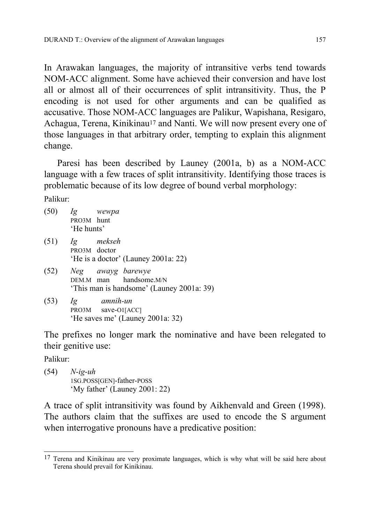In Arawakan languages, the majority of intransitive verbs tend towards NOM-ACC alignment. Some have achieved their conversion and have lost all or almost all of their occurrences of split intransitivity. Thus, the P encoding is not used for other arguments and can be qualified as accusative. Those NOM-ACC languages are Palikur, Wapishana, Resigaro, Achagua, Terena, Kinikinau<sup>17</sup> and Nanti. We will now present every one of those languages in that arbitrary order, tempting to explain this alignment change.

Paresi has been described by Launey (2001a, b) as a NOM-ACC language with a few traces of split intransitivity. Identifying those traces is problematic because of its low degree of bound verbal morphology:

Palikur:

|      | $(50)$ Ig wewpa<br>PRO3M hunt<br>'He hunts'                                                   |
|------|-----------------------------------------------------------------------------------------------|
|      | $(51)$ Ig mekseh<br>PRO3M doctor<br>'He is a doctor' (Launey 2001a: 22)                       |
|      | (52) Neg awayg barewye<br>DEM.M man handsome.M/N<br>'This man is handsome' (Launey 2001a: 39) |
| (53) | amnih-un<br>Ig<br>PRO3M save-O1[ACC]<br>'He saves me' (Launey 2001a: 32)                      |

The prefixes no longer mark the nominative and have been relegated to their genitive use:

Palikur:

(54) *N-ig-uh*  1SG.POSS[GEN]-father-POSS 'My father' (Launey 2001: 22)

A trace of split intransitivity was found by Aikhenvald and Green (1998). The authors claim that the suffixes are used to encode the S argument when interrogative pronouns have a predicative position:

<sup>1</sup> <sup>17</sup> Terena and Kinikinau are very proximate languages, which is why what will be said here about Terena should prevail for Kinikinau.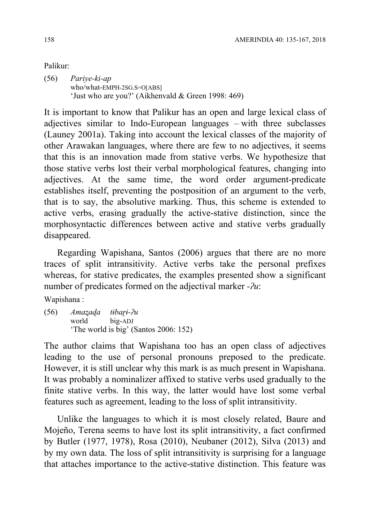## Palikur:

(56) *Pariye-ki-ap*  who/what-EMPH-2SG.S=O[ABS] 'Just who are you?' (Aikhenvald & Green 1998: 469)

It is important to know that Palikur has an open and large lexical class of adjectives similar to Indo-European languages – with three subclasses (Launey 2001a). Taking into account the lexical classes of the majority of other Arawakan languages, where there are few to no adjectives, it seems that this is an innovation made from stative verbs. We hypothesize that those stative verbs lost their verbal morphological features, changing into adjectives. At the same time, the word order argument-predicate establishes itself, preventing the postposition of an argument to the verb, that is to say, the absolutive marking. Thus, this scheme is extended to active verbs, erasing gradually the active-stative distinction, since the morphosyntactic differences between active and stative verbs gradually disappeared.

Regarding Wapishana, Santos (2006) argues that there are no more traces of split intransitivity. Active verbs take the personal prefixes whereas, for stative predicates, the examples presented show a significant number of predicates formed on the adjectival marker *-ʔu*:

Wapishana :

(56) *Amaʐaɖa tɨbaɽɨ-ʔu*  world big-ADJ 'The world is big' (Santos 2006: 152)

The author claims that Wapishana too has an open class of adjectives leading to the use of personal pronouns preposed to the predicate. However, it is still unclear why this mark is as much present in Wapishana. It was probably a nominalizer affixed to stative verbs used gradually to the finite stative verbs. In this way, the latter would have lost some verbal features such as agreement, leading to the loss of split intransitivity.

Unlike the languages to which it is most closely related, Baure and Mojeño, Terena seems to have lost its split intransitivity, a fact confirmed by Butler (1977, 1978), Rosa (2010), Neubaner (2012), Silva (2013) and by my own data. The loss of split intransitivity is surprising for a language that attaches importance to the active-stative distinction. This feature was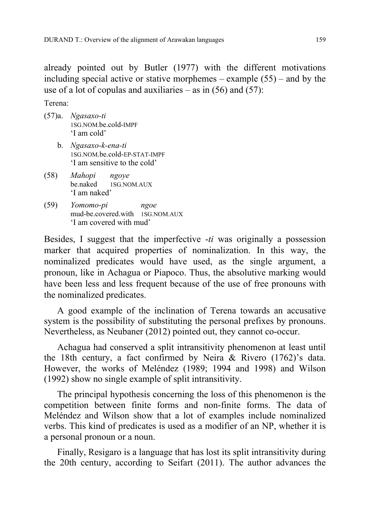already pointed out by Butler (1977) with the different motivations including special active or stative morphemes – example (55) – and by the use of a lot of copulas and auxiliaries – as in  $(56)$  and  $(57)$ :

Terena:

- (57)a. *Ngasaxo-ti*  1SG.NOM.be.cold-IMPF 'I am cold'
	- b. *Ngasaxo-k-ena-ti*  1SG.NOM.be.cold-EP-STAT-IMPF 'I am sensitive to the cold'
- (58) *Mahopi ngoye*  be.naked 1SG.NOM.AUX 'I am naked'
- (59) *Yomomo-pi ngoe*  mud-be.covered.with 1SG.NOM.AUX 'I am covered with mud'

Besides, I suggest that the imperfective -*ti* was originally a possession marker that acquired properties of nominalization. In this way, the nominalized predicates would have used, as the single argument, a pronoun, like in Achagua or Piapoco. Thus, the absolutive marking would have been less and less frequent because of the use of free pronouns with the nominalized predicates.

A good example of the inclination of Terena towards an accusative system is the possibility of substituting the personal prefixes by pronouns. Nevertheless, as Neubaner (2012) pointed out, they cannot co-occur.

Achagua had conserved a split intransitivity phenomenon at least until the 18th century, a fact confirmed by Neira & Rivero (1762)'s data. However, the works of Meléndez (1989; 1994 and 1998) and Wilson (1992) show no single example of split intransitivity.

The principal hypothesis concerning the loss of this phenomenon is the competition between finite forms and non-finite forms. The data of Meléndez and Wilson show that a lot of examples include nominalized verbs. This kind of predicates is used as a modifier of an NP, whether it is a personal pronoun or a noun.

Finally, Resigaro is a language that has lost its split intransitivity during the 20th century, according to Seifart (2011). The author advances the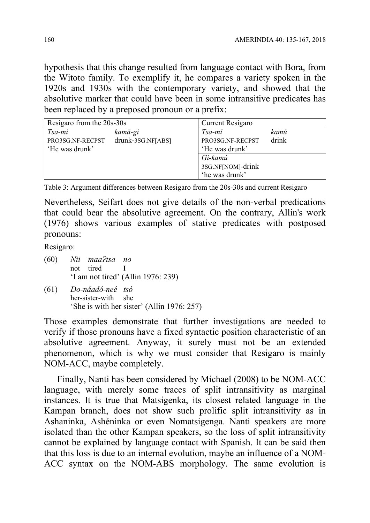hypothesis that this change resulted from language contact with Bora, from the Witoto family. To exemplify it, he compares a variety spoken in the 1920s and 1930s with the contemporary variety, and showed that the absolutive marker that could have been in some intransitive predicates has been replaced by a preposed pronoun or a prefix:

| Resigaro from the 20s-30s                    |                              | Current Resigaro                               |               |
|----------------------------------------------|------------------------------|------------------------------------------------|---------------|
| Tsa-mi<br>PRO3SG.NF-RECPST<br>'He was drunk' | kamā-gi<br>drunk-3SG.NF[ABS] | Tsa-mi<br>PRO3SG.NF-RECPST<br>'He was drunk'   | kamú<br>drink |
|                                              |                              | Gi-kamú<br>3SG.NF[NOM]-drink<br>'he was drunk' |               |

Table 3: Argument differences between Resigaro from the 20s-30s and current Resigaro

Nevertheless, Seifart does not give details of the non-verbal predications that could bear the absolutive agreement. On the contrary, Allin's work (1976) shows various examples of stative predicates with postposed pronouns:

Resigaro:

- (60) *Nii maaɁtsa no*  not tired I 'I am not tired' (Allin 1976: 239)
- (61) *Do-náadó-neé tsó*  her-sister-with she 'She is with her sister' (Allin 1976: 257)

Those examples demonstrate that further investigations are needed to verify if those pronouns have a fixed syntactic position characteristic of an absolutive agreement. Anyway, it surely must not be an extended phenomenon, which is why we must consider that Resigaro is mainly NOM-ACC, maybe completely.

Finally, Nanti has been considered by Michael (2008) to be NOM-ACC language, with merely some traces of split intransitivity as marginal instances. It is true that Matsigenka, its closest related language in the Kampan branch, does not show such prolific split intransitivity as in Ashaninka, Ashéninka or even Nomatsigenga. Nanti speakers are more isolated than the other Kampan speakers, so the loss of split intransitivity cannot be explained by language contact with Spanish. It can be said then that this loss is due to an internal evolution, maybe an influence of a NOM-ACC syntax on the NOM-ABS morphology. The same evolution is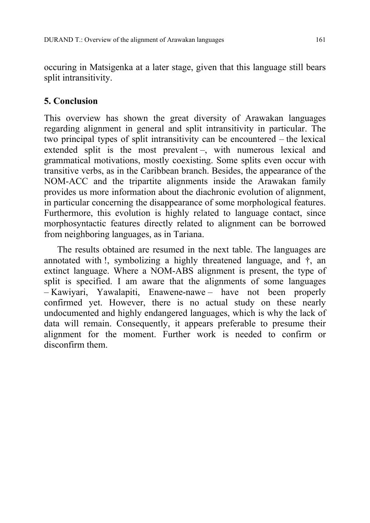occuring in Matsigenka at a later stage, given that this language still bears split intransitivity.

# **5. Conclusion**

This overview has shown the great diversity of Arawakan languages regarding alignment in general and split intransitivity in particular. The two principal types of split intransitivity can be encountered – the lexical extended split is the most prevalent –, with numerous lexical and grammatical motivations, mostly coexisting. Some splits even occur with transitive verbs, as in the Caribbean branch. Besides, the appearance of the NOM-ACC and the tripartite alignments inside the Arawakan family provides us more information about the diachronic evolution of alignment, in particular concerning the disappearance of some morphological features. Furthermore, this evolution is highly related to language contact, since morphosyntactic features directly related to alignment can be borrowed from neighboring languages, as in Tariana.

The results obtained are resumed in the next table. The languages are annotated with !, symbolizing a highly threatened language, and †, an extinct language. Where a NOM-ABS alignment is present, the type of split is specified. I am aware that the alignments of some languages – Kawiyari, Yawalapiti, Enawene-nawe – have not been properly confirmed yet. However, there is no actual study on these nearly undocumented and highly endangered languages, which is why the lack of data will remain. Consequently, it appears preferable to presume their alignment for the moment. Further work is needed to confirm or disconfirm them.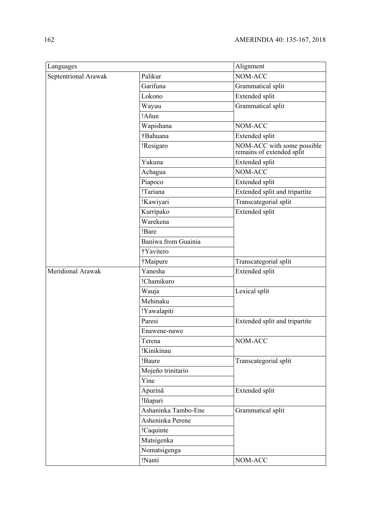| Languages            |                     | Alignment                                               |  |
|----------------------|---------------------|---------------------------------------------------------|--|
| Septentrional Arawak | Palikur             | NOM-ACC                                                 |  |
|                      | Garifuna            | Grammatical split                                       |  |
|                      | Lokono              | <b>Extended</b> split                                   |  |
|                      | Wayuu               | Grammatical split                                       |  |
|                      | !Añun               |                                                         |  |
|                      | Wapishana           | NOM-ACC                                                 |  |
|                      | †Bahuana            | Extended split                                          |  |
|                      | !Resigaro           | NOM-ACC with some possible<br>remains of extended split |  |
|                      | Yukuna              | Extended split                                          |  |
|                      | Achagua             | NOM-ACC                                                 |  |
|                      | Piapoco             | Extended split                                          |  |
|                      | !Tariana            | Extended split and tripartite                           |  |
|                      | !Kawiyari           | Transcategorial split                                   |  |
|                      | Kurripako           | Extended split                                          |  |
|                      | Warekena            |                                                         |  |
|                      | !Bare               |                                                         |  |
|                      | Baniwa from Guainia |                                                         |  |
|                      | †Yavitero           |                                                         |  |
|                      | †Maipure            | Transcategorial split                                   |  |
| Meridional Arawak    | Yanesha             | Extended split                                          |  |
|                      | !Chamikuro          |                                                         |  |
|                      | Wauja               | Lexical split                                           |  |
|                      | Mehinaku            |                                                         |  |
|                      | !Yawalapiti         |                                                         |  |
|                      | Paresi              | Extended split and tripartite                           |  |
|                      | Enawene-nawe        |                                                         |  |
|                      | Terena              | NOM-ACC                                                 |  |
|                      | !Kinikinau          |                                                         |  |
|                      | !Baure              | Transcategorial split                                   |  |
|                      | Mojeño trinitario   |                                                         |  |
|                      | Yine                |                                                         |  |
|                      | Apurinã             | Extended split                                          |  |
|                      | !Iñapari            |                                                         |  |
|                      | Ashaninka Tambo-Ene | Grammatical split                                       |  |
|                      | Asheninka Perene    |                                                         |  |
|                      | !Caquinte           |                                                         |  |
|                      | Matsigenka          |                                                         |  |
|                      | Nomatsigenga        |                                                         |  |
|                      | !Nanti              | NOM-ACC                                                 |  |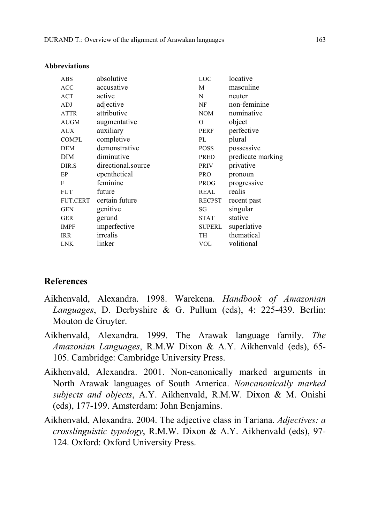| ABS             | absolutive         | LOC           | locative          |
|-----------------|--------------------|---------------|-------------------|
| <b>ACC</b>      | accusative         | M             | masculine         |
| <b>ACT</b>      | active             | N             | neuter            |
| ADJ             | adjective          | NF            | non-feminine      |
| ATTR            | attributive        | <b>NOM</b>    | nominative        |
| AUGM            | augmentative       | $\mathcal{O}$ | object            |
| AUX             | auxiliary          | <b>PERF</b>   | perfective        |
| <b>COMPL</b>    | completive         | PL            | plural            |
| <b>DEM</b>      | demonstrative      | <b>POSS</b>   | possessive        |
| <b>DIM</b>      | diminutive         | PRED          | predicate marking |
| DIR.S           | directional.source | <b>PRIV</b>   | privative         |
| EP              | epenthetical       | <b>PRO</b>    | pronoun           |
| F               | feminine           | <b>PROG</b>   | progressive       |
| <b>FUT</b>      | future             | <b>REAL</b>   | realis            |
| <b>FUT.CERT</b> | certain future     | <b>RECPST</b> | recent past       |
| <b>GEN</b>      | genitive           | SG            | singular          |
| <b>GER</b>      | gerund             | <b>STAT</b>   | stative           |
| <b>IMPF</b>     | imperfective       | <b>SUPERL</b> | superlative       |
| <b>IRR</b>      | irrealis           | TH            | thematical        |
| <b>LNK</b>      | linker             | <b>VOL</b>    | volitional        |

#### **Abbreviations**

### **References**

- Aikhenvald, Alexandra. 1998. Warekena. *Handbook of Amazonian Languages*, D. Derbyshire & G. Pullum (eds), 4: 225-439. Berlin: Mouton de Gruyter.
- Aikhenvald, Alexandra. 1999. The Arawak language family. *The Amazonian Languages*, R.M.W Dixon & A.Y. Aikhenvald (eds), 65- 105. Cambridge: Cambridge University Press.
- Aikhenvald, Alexandra. 2001. Non-canonically marked arguments in North Arawak languages of South America. *Noncanonically marked subjects and objects*, A.Y. Aikhenvald, R.M.W. Dixon & M. Onishi (eds), 177-199. Amsterdam: John Benjamins.
- Aikhenvald, Alexandra. 2004. The adjective class in Tariana. *Adjectives: a crosslinguistic typology*, R.M.W. Dixon & A.Y. Aikhenvald (eds), 97- 124. Oxford: Oxford University Press.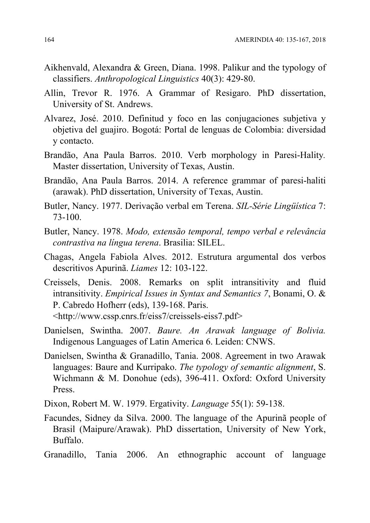- Aikhenvald, Alexandra & Green, Diana. 1998. Palikur and the typology of classifiers. *Anthropological Linguistics* 40(3): 429-80.
- Allin, Trevor R. 1976. A Grammar of Resigaro. PhD dissertation, University of St. Andrews.
- Alvarez, José. 2010. Definitud y foco en las conjugaciones subjetiva y objetiva del guajiro. Bogotá: Portal de lenguas de Colombia: diversidad y contacto.
- Brandão, Ana Paula Barros. 2010. Verb morphology in Paresi-Hality*.*  Master dissertation, University of Texas, Austin.
- Brandão, Ana Paula Barros. 2014. A reference grammar of paresi-haliti (arawak). PhD dissertation, University of Texas, Austin.
- Butler, Nancy. 1977. Derivação verbal em Terena. *SIL-Série Lingüística* 7: 73-100.
- Butler, Nancy. 1978. *Modo, extensão temporal, tempo verbal e relevância contrastiva na língua terena*. Brasilia: SILEL.
- Chagas, Angela Fabiola Alves. 2012. Estrutura argumental dos verbos descritivos Apurinã. *Liames* 12: 103-122.
- Creissels, Denis. 2008. Remarks on split intransitivity and fluid intransitivity. *Empirical Issues in Syntax and Semantics 7*, Bonami, O. & P. Cabredo Hofherr (eds), 139-168. Paris. <http://www.cssp.cnrs.fr/eiss7/creissels-eiss7.pdf>
- Danielsen, Swintha. 2007. *Baure. An Arawak language of Bolivia.* Indigenous Languages of Latin America 6. Leiden: CNWS.
- Danielsen, Swintha & Granadillo, Tania. 2008. Agreement in two Arawak languages: Baure and Kurripako. *The typology of semantic alignment*, S. Wichmann & M. Donohue (eds), 396-411. Oxford: Oxford University Press.
- Dixon, Robert M. W. 1979. Ergativity. *Language* 55(1): 59-138.
- Facundes, Sidney da Silva. 2000. The language of the Apurinã people of Brasil (Maipure/Arawak). PhD dissertation, University of New York, Buffalo.
- Granadillo, Tania 2006. An ethnographic account of language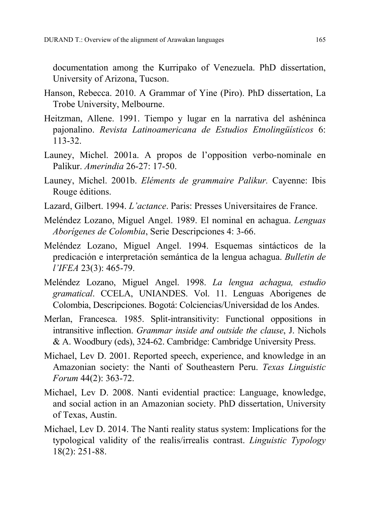documentation among the Kurripako of Venezuela. PhD dissertation, University of Arizona, Tucson.

- Hanson, Rebecca. 2010. A Grammar of Yine (Piro). PhD dissertation, La Trobe University, Melbourne.
- Heitzman, Allene. 1991. Tiempo y lugar en la narrativa del ashéninca pajonalino. *Revista Latinoamericana de Estudios Etnolingüísticos* 6: 113-32.
- Launey, Michel. 2001a. A propos de l'opposition verbo-nominale en Palikur. *Amerindia* 26-27: 17-50.
- Launey, Michel. 2001b. *Eléments de grammaire Palikur.* Cayenne: Ibis Rouge éditions.
- Lazard, Gilbert. 1994. *L'actance*. Paris: Presses Universitaires de France.
- Meléndez Lozano, Miguel Angel. 1989. El nominal en achagua. *Lenguas Aborígenes de Colombia*, Serie Descripciones 4: 3-66.
- Meléndez Lozano, Miguel Angel. 1994. Esquemas sintácticos de la predicación e interpretación semántica de la lengua achagua. *Bulletin de l'IFEA* 23(3): 465-79.
- Meléndez Lozano, Miguel Angel. 1998. *La lengua achagua, estudio gramatical*. CCELA, UNIANDES. Vol. 11. Lenguas Aborigenes de Colombia, Descripciones. Bogotá: Colciencias/Universidad de los Andes.
- Merlan, Francesca. 1985. Split-intransitivity: Functional oppositions in intransitive inflection. *Grammar inside and outside the clause*, J. Nichols & A. Woodbury (eds), 324-62. Cambridge: Cambridge University Press.
- Michael, Lev D. 2001. Reported speech, experience, and knowledge in an Amazonian society: the Nanti of Southeastern Peru. *Texas Linguistic Forum* 44(2): 363-72.
- Michael, Lev D. 2008. Nanti evidential practice: Language, knowledge, and social action in an Amazonian society. PhD dissertation, University of Texas, Austin.
- Michael, Lev D. 2014. The Nanti reality status system: Implications for the typological validity of the realis/irrealis contrast. *Linguistic Typology* 18(2): 251-88.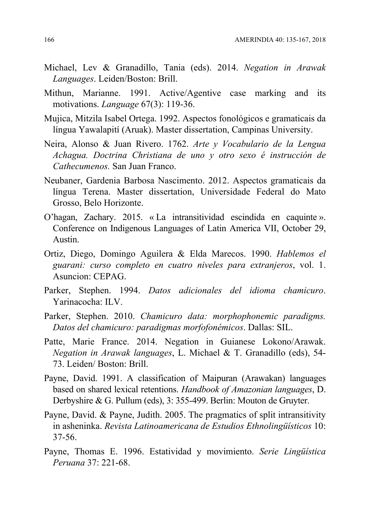- Michael, Lev & Granadillo, Tania (eds). 2014. *Negation in Arawak Languages*. Leiden/Boston: Brill.
- Mithun, Marianne. 1991. Active/Agentive case marking and its motivations. *Language* 67(3): 119-36.
- Mujica, Mitzila Isabel Ortega. 1992. Aspectos fonológicos e gramaticais da língua Yawalapití (Aruak). Master dissertation, Campinas University.
- Neira, Alonso & Juan Rivero. 1762. *Arte y Vocabulario de la Lengua Achagua. Doctrina Christiana de uno y otro sexo é instrucción de Cathecumenos.* San Juan Franco.
- Neubaner, Gardenia Barbosa Nascimento. 2012. Aspectos gramaticais da língua Terena. Master dissertation, Universidade Federal do Mato Grosso, Belo Horizonte.
- O'hagan, Zachary. 2015. « La intransitividad escindida en caquinte ». Conference on Indigenous Languages of Latin America VII, October 29, Austin.
- Ortiz, Diego, Domingo Aguilera & Elda Marecos. 1990. *Hablemos el guarani: curso completo en cuatro niveles para extranjeros*, vol. 1. Asuncion: CEPAG.
- Parker, Stephen. 1994. *Datos adicionales del idioma chamicuro*. Yarinacocha: ILV.
- Parker, Stephen. 2010. *Chamicuro data: morphophonemic paradigms. Datos del chamicuro: paradigmas morfofonémicos*. Dallas: SIL.
- Patte, Marie France. 2014. Negation in Guianese Lokono/Arawak. *Negation in Arawak languages*, L. Michael & T. Granadillo (eds), 54- 73. Leiden/ Boston: Brill.
- Payne, David. 1991. A classification of Maipuran (Arawakan) languages based on shared lexical retentions. *Handbook of Amazonian languages*, D. Derbyshire & G. Pullum (eds), 3: 355-499. Berlin: Mouton de Gruyter.
- Payne, David. & Payne, Judith. 2005. The pragmatics of split intransitivity in asheninka. *Revista Latinoamericana de Estudios Ethnolingüísticos* 10: 37-56.
- Payne, Thomas E. 1996. Estatividad y movimiento. *Serie Lingüística Peruana* 37: 221-68.